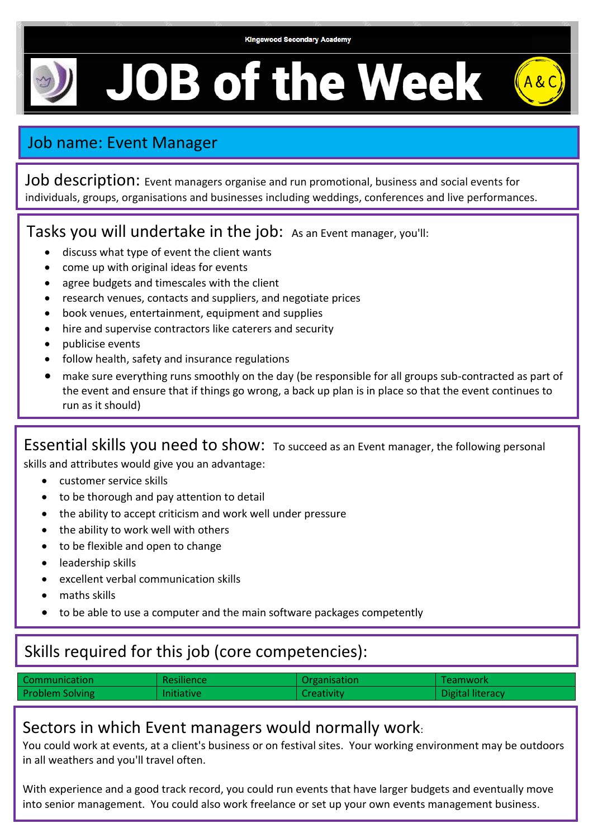#### **Kingswood Secondary Academy**

 $A$ &C

**JOB of the Week** 

# Job name: Event Manager

Job description: Event managers organise and run promotional, business and social events for individuals, groups, organisations and businesses including weddings, conferences and live performances.

### Tasks you will undertake in the job: As an Event manager, you'll:

- discuss what type of event the client wants
- come up with original ideas for events
- agree budgets and timescales with the client
- research venues, contacts and suppliers, and negotiate prices
- book venues, entertainment, equipment and supplies
- hire and supervise contractors like caterers and security
- publicise events
- follow health, safety and insurance regulations
- make sure everything runs smoothly on the day (be responsible for all groups sub-contracted as part of the event and ensure that if things go wrong, a back up plan is in place so that the event continues to run as it should)

Essential skills you need to show: To succeed as an Event manager, the following personal

skills and attributes would give you an advantage:

- customer service skills
- to be thorough and pay attention to detail
- the ability to accept criticism and work well under pressure
- the ability to work well with others
- to be flexible and open to change
- leadership skills
- excellent verbal communication skills
- maths skills
- to be able to use a computer and the main software packages competently

## Skills required for this job (core competencies):

| Communication          | Resilience        | Organisation      | Teamwork         |
|------------------------|-------------------|-------------------|------------------|
| <b>Problem Solving</b> | <b>Initiative</b> | <b>Creativity</b> | Digital literacy |

### Sectors in which Event managers would normally work:

You could work at events, at a client's business or on festival sites. Your working environment may be outdoors in all weathers and you'll travel often.

With experience and a good track record, you could run events that have larger budgets and eventually move into senior management. You could also work freelance or set up your own events management business.